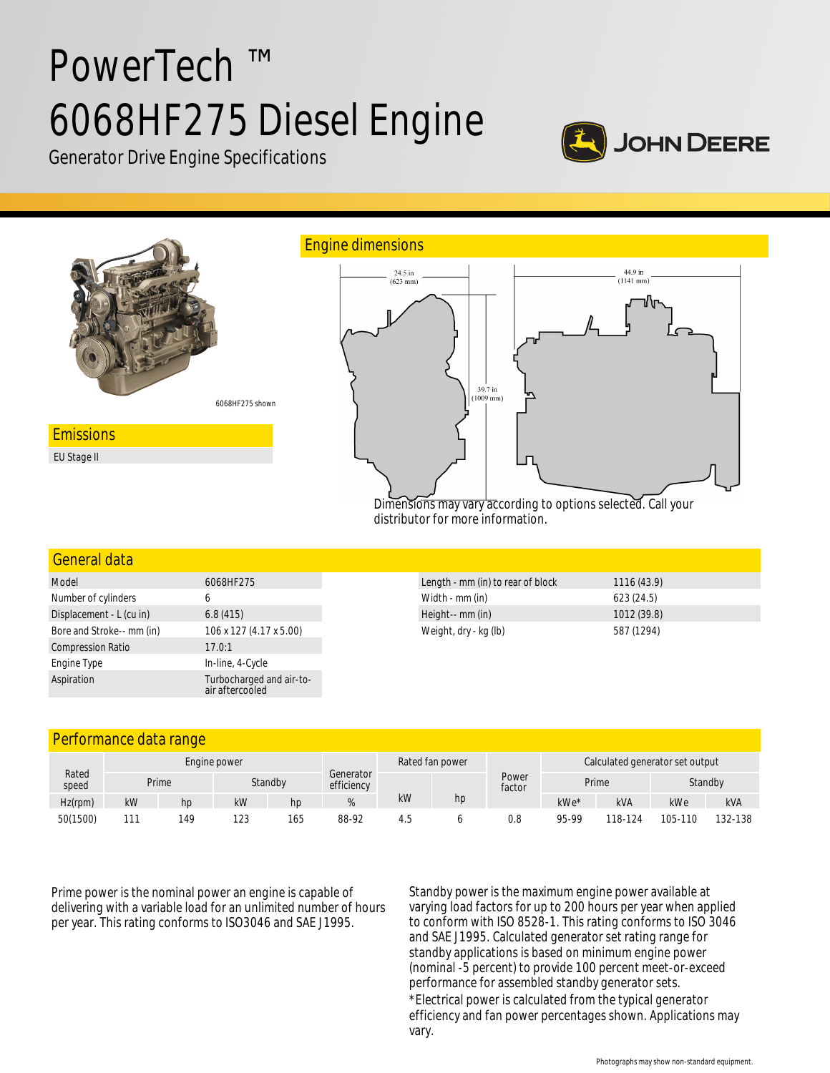# PowerTech ™ 6068HF275 Diesel Engine



Generator Drive Engine Specifications



#### General data

| Model                     | 6068HF275                                   |  |  |  |  |
|---------------------------|---------------------------------------------|--|--|--|--|
| Number of cylinders       | 6                                           |  |  |  |  |
| Displacement - L (cu in)  | 6.8(415)                                    |  |  |  |  |
| Bore and Stroke-- mm (in) | 106 x 127 (4.17 x 5.00)                     |  |  |  |  |
| <b>Compression Ratio</b>  | 17.0:1                                      |  |  |  |  |
| Engine Type               | In-line, 4-Cycle                            |  |  |  |  |
| Aspiration                | Turbocharged and air-to-<br>air aftercooled |  |  |  |  |

| Length - mm (in) to rear of block | 1116(43.9)  |
|-----------------------------------|-------------|
| Width - mm (in)                   | 623(24.5)   |
| Height-- mm (in)                  | 1012 (39.8) |
| Weight, dry - kg (lb)             | 587 (1294)  |

### Performance data range

|                |              | $\sim$ |     |         |                         |                 |    |                                 |       |         |         |            |
|----------------|--------------|--------|-----|---------|-------------------------|-----------------|----|---------------------------------|-------|---------|---------|------------|
| Rated<br>speed | Engine power |        |     |         |                         | Rated fan power |    | Calculated generator set output |       |         |         |            |
|                |              | Prime  |     | Standby | Generator<br>efficiency |                 |    | Power<br>factor                 | Prime |         | Standby |            |
| Hz(rpm)        | kW           | hp     | kW  | hp      |                         | kW              | hp |                                 | kWe*  | kVA     | kWe     | <b>kVA</b> |
| 50(1500)       | 11'          | 149    | 123 | 165     | 88-92                   | 4.5             |    | 0.8                             | 95-99 | 118-124 | 105-110 | 132-138    |

Prime power is the nominal power an engine is capable of delivering with a variable load for an unlimited number of hours per year. This rating conforms to ISO3046 and SAE J1995.

Standby power is the maximum engine power available at varying load factors for up to 200 hours per year when applied to conform with ISO 8528-1. This rating conforms to ISO 3046 and SAE J1995. Calculated generator set rating range for standby applications is based on minimum engine power (nominal -5 percent) to provide 100 percent meet-or-exceed performance for assembled standby generator sets. \*Electrical power is calculated from the typical generator efficiency and fan power percentages shown. Applications may vary.